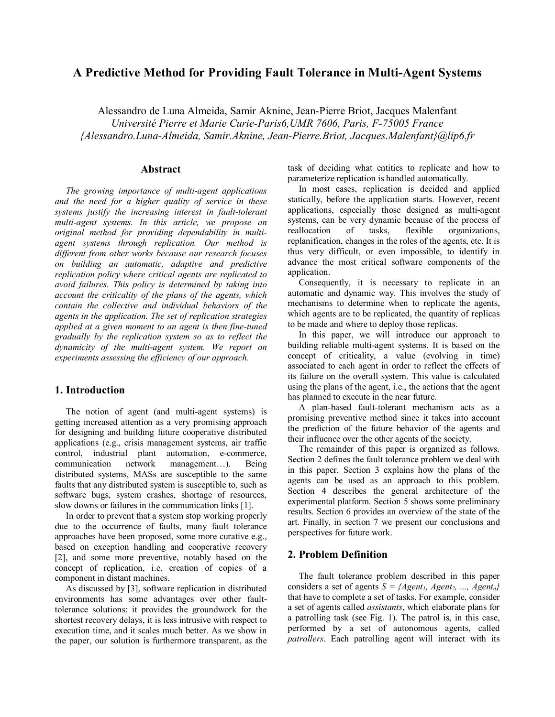# **A Predictive Method for Providing Fault Tolerance in Multi-Agent Systems**

Alessandro de Luna Almeida, Samir Aknine, Jean-Pierre Briot, Jacques Malenfant *Université Pierre et Marie Curie-Paris6,UMR 7606, Paris, F-75005 France {Alessandro.Luna-Almeida, Samir.Aknine, Jean-Pierre.Briot, Jacques.Malenfant}@lip6.fr*

## **Abstract**

*The growing importance of multi-agent applications and the need for a higher quality of service in these systems justify the increasing interest in fault-tolerant multi-agent systems. In this article, we propose an original method for providing dependability in multiagent systems through replication. Our method is different from other works because our research focuses on building an automatic, adaptive and predictive replication policy where critical agents are replicated to avoid failures. This policy is determined by taking into account the criticality of the plans of the agents, which contain the collective and individual behaviors of the agents in the application. The set of replication strategies applied at a given moment to an agent is then fine-tuned gradually by the replication system so as to reflect the dynamicity of the multi-agent system. We report on experiments assessing the efficiency of our approach.* 

## **1. Introduction**

The notion of agent (and multi-agent systems) is getting increased attention as a very promising approach for designing and building future cooperative distributed applications (e.g., crisis management systems, air traffic control, industrial plant automation, e-commerce, communication network management…). Being distributed systems, MASs are susceptible to the same faults that any distributed system is susceptible to, such as software bugs, system crashes, shortage of resources, slow downs or failures in the communication links [1].

In order to prevent that a system stop working properly due to the occurrence of faults, many fault tolerance approaches have been proposed, some more curative e.g., based on exception handling and cooperative recovery [2], and some more preventive, notably based on the concept of replication, i.e. creation of copies of a component in distant machines.

As discussed by [3], software replication in distributed environments has some advantages over other faulttolerance solutions: it provides the groundwork for the shortest recovery delays, it is less intrusive with respect to execution time, and it scales much better. As we show in the paper, our solution is furthermore transparent, as the task of deciding what entities to replicate and how to parameterize replication is handled automatically.

In most cases, replication is decided and applied statically, before the application starts. However, recent applications, especially those designed as multi-agent systems, can be very dynamic because of the process of reallocation of tasks, flexible organizations, replanification, changes in the roles of the agents, etc. It is thus very difficult, or even impossible, to identify in advance the most critical software components of the application.

Consequently, it is necessary to replicate in an automatic and dynamic way. This involves the study of mechanisms to determine when to replicate the agents, which agents are to be replicated, the quantity of replicas to be made and where to deploy those replicas.

In this paper, we will introduce our approach to building reliable multi-agent systems. It is based on the concept of criticality, a value (evolving in time) associated to each agent in order to reflect the effects of its failure on the overall system. This value is calculated using the plans of the agent, i.e., the actions that the agent has planned to execute in the near future.

A plan-based fault-tolerant mechanism acts as a promising preventive method since it takes into account the prediction of the future behavior of the agents and their influence over the other agents of the society.

The remainder of this paper is organized as follows. Section 2 defines the fault tolerance problem we deal with in this paper. Section 3 explains how the plans of the agents can be used as an approach to this problem. Section 4 describes the general architecture of the experimental platform. Section 5 shows some preliminary results. Section 6 provides an overview of the state of the art. Finally, in section 7 we present our conclusions and perspectives for future work.

# **2. Problem Definition**

The fault tolerance problem described in this paper considers a set of agents  $S = \{Agent_1, Agent_2, ..., Agent_n\}$ that have to complete a set of tasks. For example, consider a set of agents called *assistants*, which elaborate plans for a patrolling task (see Fig. 1). The patrol is, in this case, performed by a set of autonomous agents, called *patrollers*. Each patrolling agent will interact with its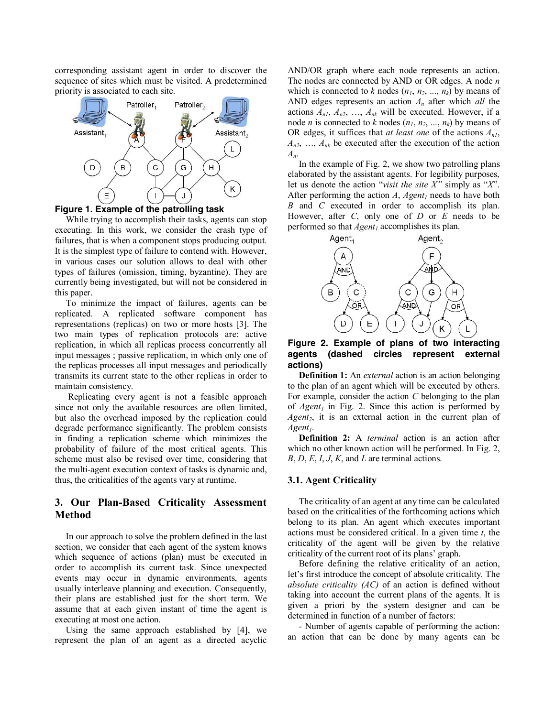corresponding assistant agent in order to discover the sequence of sites which must be visited. A predetermined priority is associated to each site.





While trying to accomplish their tasks, agents can stop executing. In this work, we consider the crash type of failures, that is when a component stops producing output. It is the simplest type of failure to contend with. However, in various cases our solution allows to deal with other types of failures (omission, timing, byzantine). They are currently being investigated, but will not be considered in this paper.

To minimize the impact of failures, agents can be replicated. A replicated software component has representations (replicas) on two or more hosts [3]. The two main types of replication protocols are: active replication, in which all replicas process concurrently all input messages ; passive replication, in which only one of the replicas processes all input messages and periodically transmits its current state to the other replicas in order to maintain consistency.

 Replicating every agent is not a feasible approach since not only the available resources are often limited, but also the overhead imposed by the replication could degrade performance significantly. The problem consists in finding a replication scheme which minimizes the probability of failure of the most critical agents. This scheme must also be revised over time, considering that the multi-agent execution context of tasks is dynamic and, thus, the criticalities of the agents vary at runtime.

# **3. Our Plan-Based Criticality Assessment Method**

In our approach to solve the problem defined in the last section, we consider that each agent of the system knows which sequence of actions (plan) must be executed in order to accomplish its current task. Since unexpected events may occur in dynamic environments, agents usually interleave planning and execution. Consequently, their plans are established just for the short term. We assume that at each given instant of time the agent is executing at most one action.

Using the same approach established by [4], we represent the plan of an agent as a directed acyclic

AND/OR graph where each node represents an action. The nodes are connected by AND or OR edges. A node *n* which is connected to  $k$  nodes  $(n_1, n_2, ..., n_k)$  by means of AND edges represents an action *An* after which *all* the actions  $A_{nl}$ ,  $A_{n2}$ , ...,  $A_{nk}$  will be executed. However, if a node *n* is connected to *k* nodes  $(n_1, n_2, ..., n_k)$  by means of OR edges, it suffices that *at least one* of the actions *An1*,  $A_{n2}$ , ...,  $A_{nk}$  be executed after the execution of the action *An*.

In the example of Fig. 2, we show two patrolling plans elaborated by the assistant agents. For legibility purposes, let us denote the action "*visit the site X"* simply as "*X*". After performing the action  $A$ ,  $Agent_1$  needs to have both *B* and *C* executed in order to accomplish its plan. However, after *C*, only one of *D* or *E* needs to be performed so that  $Agent_1$  accomplishes its plan.



**Figure 2. Example of plans of two interacting agents (dashed circles represent external actions)** 

**Definition 1:** An *external* action is an action belonging to the plan of an agent which will be executed by others. For example, consider the action *C* belonging to the plan of  $Agent_1$  in Fig. 2. Since this action is performed by  $Agent_2$ , it is an external action in the current plan of  $A$ *gent<sub>1</sub>*.

**Definition 2:** A *terminal* action is an action after which no other known action will be performed. In Fig. 2, *B*, *D*, *E*, *I*, *J*, *K*, and *L* are terminal actions.

#### **3.1. Agent Criticality**

The criticality of an agent at any time can be calculated based on the criticalities of the forthcoming actions which belong to its plan. An agent which executes important actions must be considered critical. In a given time *t*, the criticality of the agent will be given by the relative criticality of the current root of its plans' graph.

Before defining the relative criticality of an action, let's first introduce the concept of absolute criticality. The *absolute criticality (AC)* of an action is defined without taking into account the current plans of the agents. It is given a priori by the system designer and can be determined in function of a number of factors:

- Number of agents capable of performing the action: an action that can be done by many agents can be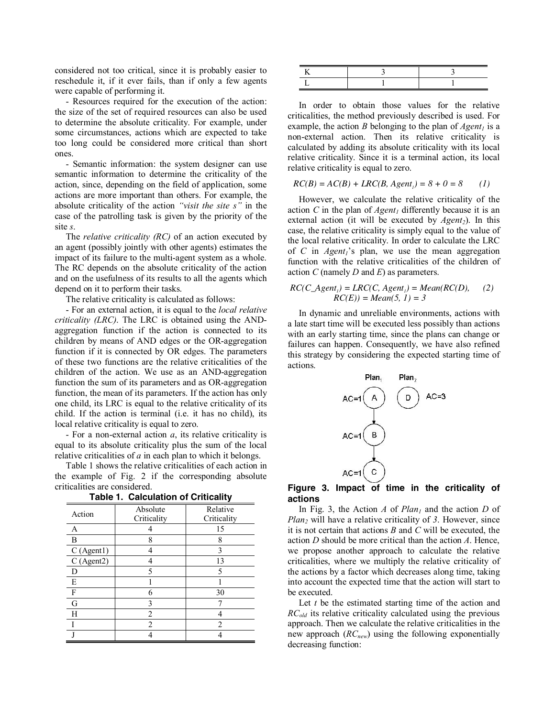considered not too critical, since it is probably easier to reschedule it, if it ever fails, than if only a few agents were capable of performing it.

- Resources required for the execution of the action: the size of the set of required resources can also be used to determine the absolute criticality. For example, under some circumstances, actions which are expected to take too long could be considered more critical than short ones.

- Semantic information: the system designer can use semantic information to determine the criticality of the action, since, depending on the field of application, some actions are more important than others. For example, the absolute criticality of the action *"visit the site s"* in the case of the patrolling task is given by the priority of the site *s*.

The *relative criticality (RC)* of an action executed by an agent (possibly jointly with other agents) estimates the impact of its failure to the multi-agent system as a whole. The RC depends on the absolute criticality of the action and on the usefulness of its results to all the agents which depend on it to perform their tasks.

The relative criticality is calculated as follows:

- For an external action, it is equal to the *local relative criticality (LRC)*. The LRC is obtained using the ANDaggregation function if the action is connected to its children by means of AND edges or the OR-aggregation function if it is connected by OR edges. The parameters of these two functions are the relative criticalities of the children of the action. We use as an AND-aggregation function the sum of its parameters and as OR-aggregation function, the mean of its parameters. If the action has only one child, its LRC is equal to the relative criticality of its child. If the action is terminal (i.e. it has no child), its local relative criticality is equal to zero.

- For a non-external action *a*, its relative criticality is equal to its absolute criticality plus the sum of the local relative criticalities of *a* in each plan to which it belongs.

Table 1 shows the relative criticalities of each action in the example of Fig. 2 if the corresponding absolute criticalities are considered.

| Action     | Absolute<br>Criticality | Relative<br>Criticality |
|------------|-------------------------|-------------------------|
| A          |                         | 15                      |
| B          | 8                       | 8                       |
| C (Agent1) | 4                       | 3                       |
| C (Agent2) | 4                       | 13                      |
| D          | 5                       | 5                       |
| E          |                         |                         |
| F          | 6                       | 30                      |
| G          | 3                       |                         |
| Н          | 2                       |                         |
|            | 2                       | $\mathfrak{D}$          |
|            |                         |                         |

|  |  |  | <b>Table 1. Calculation of Criticality</b> |
|--|--|--|--------------------------------------------|
|--|--|--|--------------------------------------------|

In order to obtain those values for the relative criticalities, the method previously described is used. For example, the action *B* belonging to the plan of  $Agent_1$  is a non-external action. Then its relative criticality is calculated by adding its absolute criticality with its local relative criticality. Since it is a terminal action, its local relative criticality is equal to zero.

$$
RC(B) = AC(B) + LRC(B, Agent1) = 8 + 0 = 8 \qquad (1)
$$

However, we calculate the relative criticality of the action  $C$  in the plan of  $Agent_1$  differently because it is an external action (it will be executed by  $Agent<sub>2</sub>$ ). In this case, the relative criticality is simply equal to the value of the local relative criticality. In order to calculate the LRC of *C* in  $Agent_i$ 's plan, we use the mean aggregation function with the relative criticalities of the children of action *C* (namely *D* and *E*) as parameters.

$$
RC(C_Agent_i) = LRC(C, Agent_i) = Mean(RC(D), \qquad (2)
$$
  

$$
RC(E)) = Mean(5, 1) = 3
$$

In dynamic and unreliable environments, actions with a late start time will be executed less possibly than actions with an early starting time, since the plans can change or failures can happen. Consequently, we have also refined this strategy by considering the expected starting time of actions.



### **Figure 3. Impact of time in the criticality of actions**

In Fig. 3, the Action  $A$  of  $Plan<sub>1</sub>$  and the action  $D$  of *Plan2* will have a relative criticality of *3*. However, since it is not certain that actions *B* and *C* will be executed, the action *D* should be more critical than the action *A*. Hence, we propose another approach to calculate the relative criticalities, where we multiply the relative criticality of the actions by a factor which decreases along time, taking into account the expected time that the action will start to be executed.

Let *t* be the estimated starting time of the action and *RC<sub>old</sub>* its relative criticality calculated using the previous approach. Then we calculate the relative criticalities in the new approach ( $RC_{new}$ ) using the following exponentially decreasing function: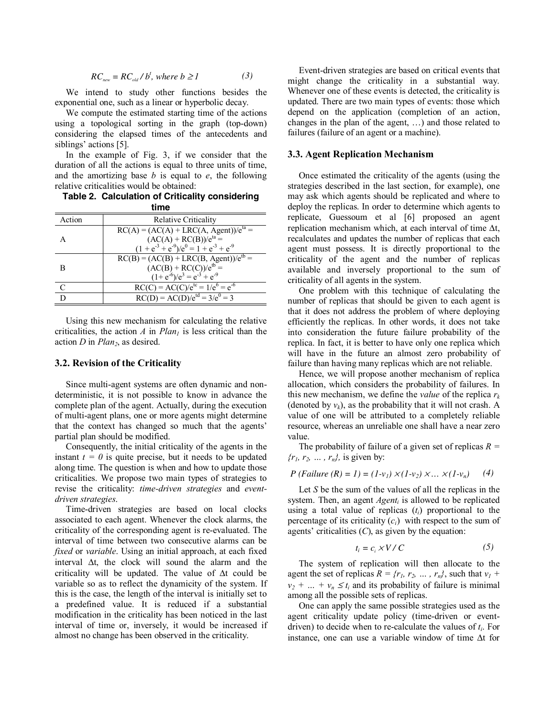$$
RC_{new} = RC_{old}/bt, where b \ge 1
$$
 (3)

We intend to study other functions besides the exponential one, such as a linear or hyperbolic decay.

We compute the estimated starting time of the actions using a topological sorting in the graph (top-down) considering the elapsed times of the antecedents and siblings' actions [5].

In the example of Fig. 3, if we consider that the duration of all the actions is equal to three units of time, and the amortizing base *b* is equal to *e*, the following relative criticalities would be obtained:

**Table 2. Calculation of Criticality considering time** 

| Action    | <b>Relative Criticality</b>                           |  |
|-----------|-------------------------------------------------------|--|
|           | $RC(A) = (AC(A) + LRC(A, Agent))/e^{ta} =$            |  |
| А         | $(AC(A) + RC(B))$ / $e^{ta} =$                        |  |
|           | $(1 + e^{-3} + e^{-9})/e^{0} = 1 + e^{-3} + e^{-9}$   |  |
|           | $RC(B) = (AC(B) + LRC(\overline{B, Agent}))/e^{tb} =$ |  |
| в         | $(AC(B) + RC(C))$ / $e^{tb}$ =                        |  |
|           | $(1+e^{-6})/e^{3} = e^{-3} + e^{-9}$                  |  |
| $\subset$ | $RC(C) = AC(C)/e^{tc} = 1/e^6 = e^{-6}$               |  |
|           | $RC(D) = AC(D)/e^{td} = 3/e^{0} = 3$                  |  |
|           |                                                       |  |

Using this new mechanism for calculating the relative criticalities, the action  $A$  in  $Plan<sub>l</sub>$  is less critical than the action  $D$  in  $Plan<sub>2</sub>$ , as desired.

### **3.2. Revision of the Criticality**

Since multi-agent systems are often dynamic and nondeterministic, it is not possible to know in advance the complete plan of the agent. Actually, during the execution of multi-agent plans, one or more agents might determine that the context has changed so much that the agents' partial plan should be modified.

Consequently, the initial criticality of the agents in the instant  $t = 0$  is quite precise, but it needs to be updated along time. The question is when and how to update those criticalities. We propose two main types of strategies to revise the criticality: *time-driven strategies* and *eventdriven strategies*.

Time-driven strategies are based on local clocks associated to each agent. Whenever the clock alarms, the criticality of the corresponding agent is re-evaluated. The interval of time between two consecutive alarms can be *fixed* or *variable*. Using an initial approach, at each fixed interval ∆t, the clock will sound the alarm and the criticality will be updated. The value of ∆t could be variable so as to reflect the dynamicity of the system. If this is the case, the length of the interval is initially set to a predefined value. It is reduced if a substantial modification in the criticality has been noticed in the last interval of time or, inversely, it would be increased if almost no change has been observed in the criticality.

Event-driven strategies are based on critical events that might change the criticality in a substantial way. Whenever one of these events is detected, the criticality is updated. There are two main types of events: those which depend on the application (completion of an action, changes in the plan of the agent, …) and those related to failures (failure of an agent or a machine).

#### **3.3. Agent Replication Mechanism**

Once estimated the criticality of the agents (using the strategies described in the last section, for example), one may ask which agents should be replicated and where to deploy the replicas. In order to determine which agents to replicate, Guessoum et al [6] proposed an agent replication mechanism which, at each interval of time ∆t, recalculates and updates the number of replicas that each agent must possess. It is directly proportional to the criticality of the agent and the number of replicas available and inversely proportional to the sum of criticality of all agents in the system.

One problem with this technique of calculating the number of replicas that should be given to each agent is that it does not address the problem of where deploying efficiently the replicas. In other words, it does not take into consideration the future failure probability of the replica. In fact, it is better to have only one replica which will have in the future an almost zero probability of failure than having many replicas which are not reliable.

Hence, we will propose another mechanism of replica allocation, which considers the probability of failures. In this new mechanism, we define the *value* of the replica *rk* (denoted by  $v_k$ ), as the probability that it will not crash. A value of one will be attributed to a completely reliable resource, whereas an unreliable one shall have a near zero value.

The probability of failure of a given set of replicas  $R =$  $\{r_1, r_2, \ldots, r_n\}$ , is given by:

$$
P (Failure (R) = 1) = (1-v_1) \times (1-v_2) \times ... \times (1-v_n) \tag{4}
$$

Let *S* be the sum of the values of all the replicas in the system. Then, an agent *Agent<sub>i</sub>* is allowed to be replicated using a total value of replicas  $(t_i)$  proportional to the percentage of its criticality  $(c_i)$  with respect to the sum of agents' criticalities (*C*), as given by the equation:

$$
t_i = c_i \times V / C \tag{5}
$$

The system of replication will then allocate to the agent the set of replicas  $R = \{r_1, r_2, \dots, r_n\}$ , such that  $v_1$  +  $v_2$  + ... +  $v_n \le t_i$  and its probability of failure is minimal among all the possible sets of replicas.

One can apply the same possible strategies used as the agent criticality update policy (time-driven or eventdriven) to decide when to re-calculate the values of *ti*. For instance, one can use a variable window of time ∆t for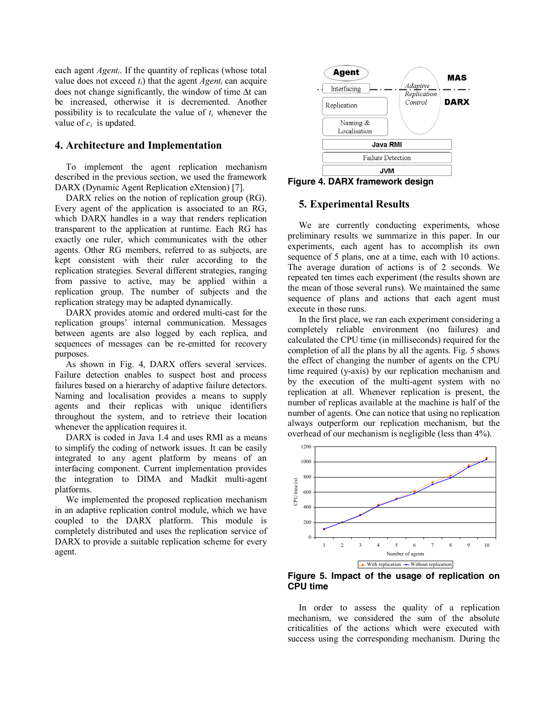each agent *Agent<sub>i</sub>*. If the quantity of replicas (whose total value does not exceed  $t_i$ ) that the agent *Agent<sub>i</sub>* can acquire does not change significantly, the window of time ∆t can be increased, otherwise it is decremented. Another possibility is to recalculate the value of  $t_i$  whenever the value of  $c_i$  is updated.

#### **4. Architecture and Implementation**

To implement the agent replication mechanism described in the previous section, we used the framework DARX (Dynamic Agent Replication eXtension) [7].

DARX relies on the notion of replication group (RG). Every agent of the application is associated to an RG, which DARX handles in a way that renders replication transparent to the application at runtime. Each RG has exactly one ruler, which communicates with the other agents. Other RG members, referred to as subjects, are kept consistent with their ruler according to the replication strategies. Several different strategies, ranging from passive to active, may be applied within a replication group. The number of subjects and the replication strategy may be adapted dynamically.

DARX provides atomic and ordered multi-cast for the replication groups' internal communication. Messages between agents are also logged by each replica, and sequences of messages can be re-emitted for recovery purposes.

As shown in Fig. 4, DARX offers several services. Failure detection enables to suspect host and process failures based on a hierarchy of adaptive failure detectors. Naming and localisation provides a means to supply agents and their replicas with unique identifiers throughout the system, and to retrieve their location whenever the application requires it.

DARX is coded in Java 1.4 and uses RMI as a means to simplify the coding of network issues. It can be easily integrated to any agent platform by means of an interfacing component. Current implementation provides the integration to DIMA and Madkit multi-agent platforms.

We implemented the proposed replication mechanism in an adaptive replication control module, which we have coupled to the DARX platform. This module is completely distributed and uses the replication service of DARX to provide a suitable replication scheme for every agent.



**Figure 4. DARX framework design** 

## **5. Experimental Results**

We are currently conducting experiments, whose preliminary results we summarize in this paper. In our experiments, each agent has to accomplish its own sequence of 5 plans, one at a time, each with 10 actions. The average duration of actions is of 2 seconds. We repeated ten times each experiment (the results shown are the mean of those several runs). We maintained the same sequence of plans and actions that each agent must execute in those runs.

In the first place, we ran each experiment considering a completely reliable environment (no failures) and calculated the CPU time (in milliseconds) required for the completion of all the plans by all the agents. Fig. 5 shows the effect of changing the number of agents on the CPU time required (y-axis) by our replication mechanism and by the execution of the multi-agent system with no replication at all. Whenever replication is present, the number of replicas available at the machine is half of the number of agents. One can notice that using no replication always outperform our replication mechanism, but the overhead of our mechanism is negligible (less than 4%).



**Figure 5. Impact of the usage of replication on CPU time** 

In order to assess the quality of a replication mechanism, we considered the sum of the absolute criticalities of the actions which were executed with success using the corresponding mechanism. During the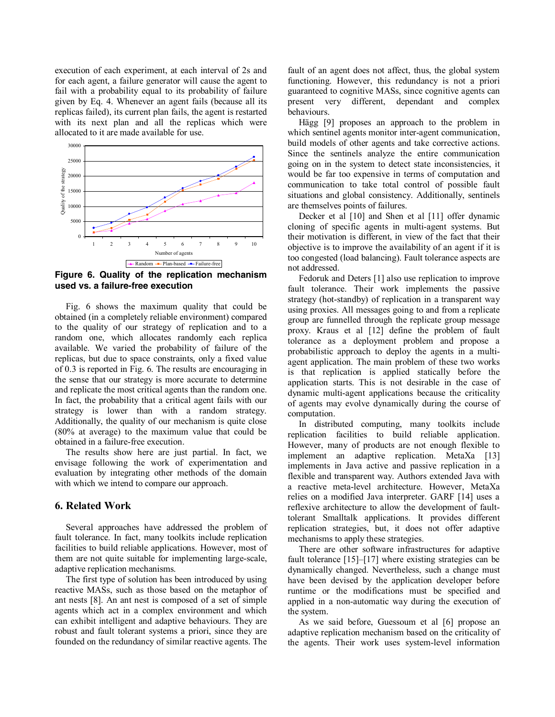execution of each experiment, at each interval of 2s and for each agent, a failure generator will cause the agent to fail with a probability equal to its probability of failure given by Eq. 4. Whenever an agent fails (because all its replicas failed), its current plan fails, the agent is restarted with its next plan and all the replicas which were allocated to it are made available for use.



**Figure 6. Quality of the replication mechanism used vs. a failure-free execution** 

Fig. 6 shows the maximum quality that could be obtained (in a completely reliable environment) compared to the quality of our strategy of replication and to a random one, which allocates randomly each replica available. We varied the probability of failure of the replicas, but due to space constraints, only a fixed value of 0.3 is reported in Fig. 6. The results are encouraging in the sense that our strategy is more accurate to determine and replicate the most critical agents than the random one. In fact, the probability that a critical agent fails with our strategy is lower than with a random strategy. Additionally, the quality of our mechanism is quite close (80% at average) to the maximum value that could be obtained in a failure-free execution.

The results show here are just partial. In fact, we envisage following the work of experimentation and evaluation by integrating other methods of the domain with which we intend to compare our approach.

### **6. Related Work**

Several approaches have addressed the problem of fault tolerance. In fact, many toolkits include replication facilities to build reliable applications. However, most of them are not quite suitable for implementing large-scale, adaptive replication mechanisms.

The first type of solution has been introduced by using reactive MASs, such as those based on the metaphor of ant nests [8]. An ant nest is composed of a set of simple agents which act in a complex environment and which can exhibit intelligent and adaptive behaviours. They are robust and fault tolerant systems a priori, since they are founded on the redundancy of similar reactive agents. The

fault of an agent does not affect, thus, the global system functioning. However, this redundancy is not a priori guaranteed to cognitive MASs, since cognitive agents can present very different, dependant and complex behaviours.

Hägg [9] proposes an approach to the problem in which sentinel agents monitor inter-agent communication, build models of other agents and take corrective actions. Since the sentinels analyze the entire communication going on in the system to detect state inconsistencies, it would be far too expensive in terms of computation and communication to take total control of possible fault situations and global consistency. Additionally, sentinels are themselves points of failures.

Decker et al [10] and Shen et al [11] offer dynamic cloning of specific agents in multi-agent systems. But their motivation is different, in view of the fact that their objective is to improve the availability of an agent if it is too congested (load balancing). Fault tolerance aspects are not addressed.

Fedoruk and Deters [1] also use replication to improve fault tolerance. Their work implements the passive strategy (hot-standby) of replication in a transparent way using proxies. All messages going to and from a replicate group are funnelled through the replicate group message proxy. Kraus et al [12] define the problem of fault tolerance as a deployment problem and propose a probabilistic approach to deploy the agents in a multiagent application. The main problem of these two works is that replication is applied statically before the application starts. This is not desirable in the case of dynamic multi-agent applications because the criticality of agents may evolve dynamically during the course of computation.

In distributed computing, many toolkits include replication facilities to build reliable application. However, many of products are not enough flexible to implement an adaptive replication. MetaXa [13] implements in Java active and passive replication in a flexible and transparent way. Authors extended Java with a reactive meta-level architecture. However, MetaXa relies on a modified Java interpreter. GARF [14] uses a reflexive architecture to allow the development of faulttolerant Smalltalk applications. It provides different replication strategies, but, it does not offer adaptive mechanisms to apply these strategies.

There are other software infrastructures for adaptive fault tolerance [15]–[17] where existing strategies can be dynamically changed. Nevertheless, such a change must have been devised by the application developer before runtime or the modifications must be specified and applied in a non-automatic way during the execution of the system.

As we said before, Guessoum et al [6] propose an adaptive replication mechanism based on the criticality of the agents. Their work uses system-level information